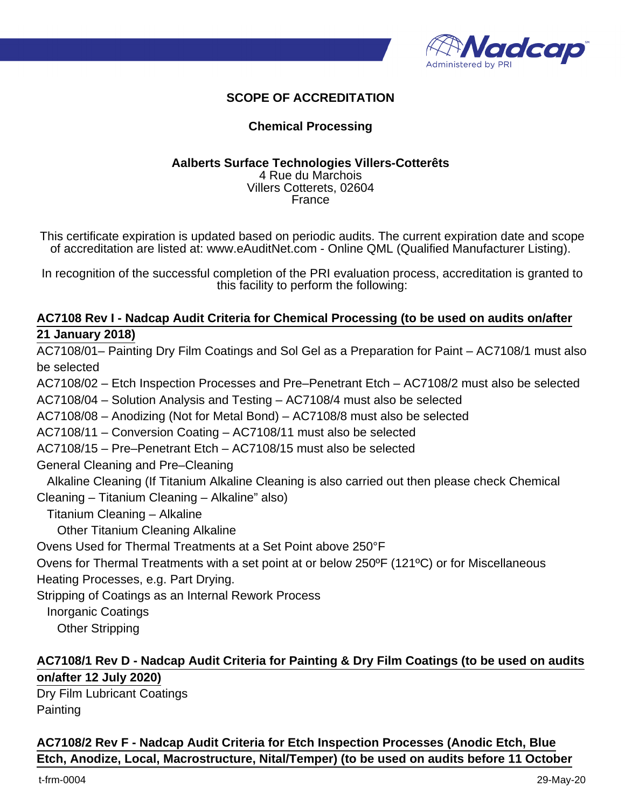

## **SCOPE OF ACCREDITATION**

### **Chemical Processing**

#### **Aalberts Surface Technologies Villers-Cotterêts** 4 Rue du Marchois

Villers Cotterets, 02604 France

This certificate expiration is updated based on periodic audits. The current expiration date and scope of accreditation are listed at: www.eAuditNet.com - Online QML (Qualified Manufacturer Listing).

In recognition of the successful completion of the PRI evaluation process, accreditation is granted to this facility to perform the following:

### **AC7108 Rev I - Nadcap Audit Criteria for Chemical Processing (to be used on audits on/after 21 January 2018)**

AC7108/01– Painting Dry Film Coatings and Sol Gel as a Preparation for Paint – AC7108/1 must also be selected AC7108/02 – Etch Inspection Processes and Pre–Penetrant Etch – AC7108/2 must also be selected AC7108/04 – Solution Analysis and Testing – AC7108/4 must also be selected AC7108/08 – Anodizing (Not for Metal Bond) – AC7108/8 must also be selected

AC7108/11 – Conversion Coating – AC7108/11 must also be selected

AC7108/15 – Pre–Penetrant Etch – AC7108/15 must also be selected

General Cleaning and Pre–Cleaning

 Alkaline Cleaning (If Titanium Alkaline Cleaning is also carried out then please check Chemical Cleaning – Titanium Cleaning – Alkaline" also)

Titanium Cleaning – Alkaline

Other Titanium Cleaning Alkaline

Ovens Used for Thermal Treatments at a Set Point above 250°F

Ovens for Thermal Treatments with a set point at or below 250ºF (121ºC) or for Miscellaneous

Heating Processes, e.g. Part Drying.

Stripping of Coatings as an Internal Rework Process

Inorganic Coatings

Other Stripping

## **AC7108/1 Rev D - Nadcap Audit Criteria for Painting & Dry Film Coatings (to be used on audits on/after 12 July 2020)**

Dry Film Lubricant Coatings **Painting** 

**AC7108/2 Rev F - Nadcap Audit Criteria for Etch Inspection Processes (Anodic Etch, Blue Etch, Anodize, Local, Macrostructure, Nital/Temper) (to be used on audits before 11 October**